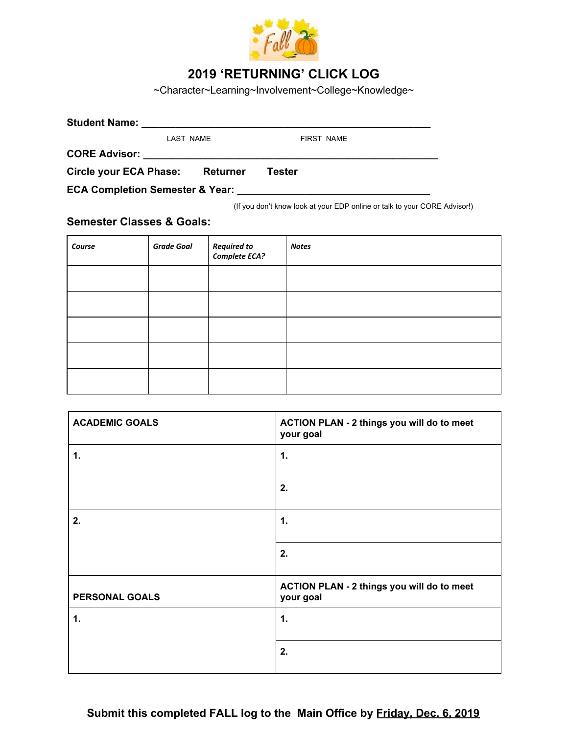

## **2019 'RETURNING' CLICK LOG**

~Character~Learning~Involvement~College~Knowledge~

| <b>Student Name:</b>                       |                                                                                 |                                                                           |  |  |
|--------------------------------------------|---------------------------------------------------------------------------------|---------------------------------------------------------------------------|--|--|
| LAST NAME                                  |                                                                                 | <b>FIRST NAME</b>                                                         |  |  |
| <b>CORE Advisor:</b>                       | the contract of the contract of the contract of the contract of the contract of |                                                                           |  |  |
| Circle your ECA Phase:                     | <b>Returner</b>                                                                 | Tester                                                                    |  |  |
| <b>ECA Completion Semester &amp; Year:</b> |                                                                                 |                                                                           |  |  |
|                                            |                                                                                 | (If you don't know look at your EDP online or talk to your CORE Advisor!) |  |  |

**Semester Classes & Goals:**

| Course | <b>Grade Goal</b> | Required to<br>Complete ECA? | <b>Notes</b> |
|--------|-------------------|------------------------------|--------------|
|        |                   |                              |              |
|        |                   |                              |              |
|        |                   |                              |              |
|        |                   |                              |              |
|        |                   |                              |              |

| <b>ACADEMIC GOALS</b> | ACTION PLAN - 2 things you will do to meet<br>your goal |
|-----------------------|---------------------------------------------------------|
| 1.                    | 1.                                                      |
|                       | 2.                                                      |
| 2.                    | 1.                                                      |
|                       | 2.                                                      |
| PERSONAL GOALS        | ACTION PLAN - 2 things you will do to meet<br>your goal |
| 1.                    | 1.                                                      |
|                       | 2.                                                      |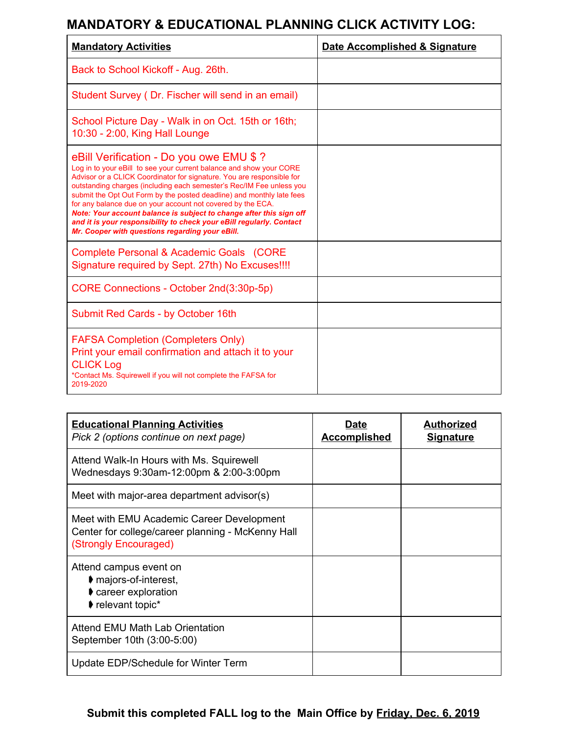## **MANDATORY & EDUCATIONAL PLANNING CLICK ACTIVITY LOG:**

| <b>Mandatory Activities</b>                                                                                                                                                                                                                                                                                                                                                                                                                                                                                                                                                                                | Date Accomplished & Signature |
|------------------------------------------------------------------------------------------------------------------------------------------------------------------------------------------------------------------------------------------------------------------------------------------------------------------------------------------------------------------------------------------------------------------------------------------------------------------------------------------------------------------------------------------------------------------------------------------------------------|-------------------------------|
| Back to School Kickoff - Aug. 26th.                                                                                                                                                                                                                                                                                                                                                                                                                                                                                                                                                                        |                               |
| Student Survey (Dr. Fischer will send in an email)                                                                                                                                                                                                                                                                                                                                                                                                                                                                                                                                                         |                               |
| School Picture Day - Walk in on Oct. 15th or 16th;<br>10:30 - 2:00, King Hall Lounge                                                                                                                                                                                                                                                                                                                                                                                                                                                                                                                       |                               |
| eBill Verification - Do you owe EMU \$ ?<br>Log in to your eBill to see your current balance and show your CORE<br>Advisor or a CLICK Coordinator for signature. You are responsible for<br>outstanding charges (including each semester's Rec/IM Fee unless you<br>submit the Opt Out Form by the posted deadline) and monthly late fees<br>for any balance due on your account not covered by the ECA.<br>Note: Your account balance is subject to change after this sign off<br>and it is your responsibility to check your eBill regularly. Contact<br>Mr. Cooper with questions regarding your eBill. |                               |
| Complete Personal & Academic Goals (CORE<br>Signature required by Sept. 27th) No Excuses!!!!                                                                                                                                                                                                                                                                                                                                                                                                                                                                                                               |                               |
| CORE Connections - October 2nd(3:30p-5p)                                                                                                                                                                                                                                                                                                                                                                                                                                                                                                                                                                   |                               |
| Submit Red Cards - by October 16th                                                                                                                                                                                                                                                                                                                                                                                                                                                                                                                                                                         |                               |
| <b>FAFSA Completion (Completers Only)</b><br>Print your email confirmation and attach it to your<br><b>CLICK Log</b><br>*Contact Ms. Squirewell if you will not complete the FAFSA for<br>2019-2020                                                                                                                                                                                                                                                                                                                                                                                                        |                               |

| <b>Educational Planning Activities</b><br>Pick 2 (options continue on next page)                                        | Date<br><b>Accomplished</b> | <b>Authorized</b><br><b>Signature</b> |
|-------------------------------------------------------------------------------------------------------------------------|-----------------------------|---------------------------------------|
| Attend Walk-In Hours with Ms. Squirewell<br>Wednesdays 9:30am-12:00pm & 2:00-3:00pm                                     |                             |                                       |
| Meet with major-area department advisor(s)                                                                              |                             |                                       |
| Meet with EMU Academic Career Development<br>Center for college/career planning - McKenny Hall<br>(Strongly Encouraged) |                             |                                       |
| Attend campus event on<br>$\blacktriangleright$ majors-of-interest,<br>career exploration<br>relevant topic*            |                             |                                       |
| Attend EMU Math Lab Orientation<br>September 10th (3:00-5:00)                                                           |                             |                                       |
| Update EDP/Schedule for Winter Term                                                                                     |                             |                                       |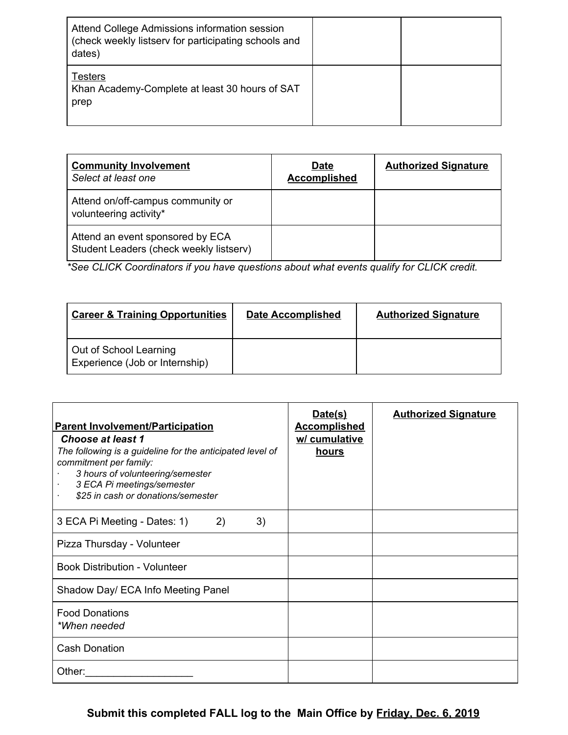| Attend College Admissions information session<br>(check weekly listserv for participating schools and<br>dates) |  |
|-----------------------------------------------------------------------------------------------------------------|--|
| <b>Testers</b><br>Khan Academy-Complete at least 30 hours of SAT<br>prep                                        |  |

| <b>Community Involvement</b><br>Select at least one                         | <b>Date</b><br><b>Accomplished</b> | <b>Authorized Signature</b> |
|-----------------------------------------------------------------------------|------------------------------------|-----------------------------|
| Attend on/off-campus community or<br>volunteering activity*                 |                                    |                             |
| Attend an event sponsored by ECA<br>Student Leaders (check weekly listserv) |                                    |                             |

*\*See CLICK Coordinators if you have questions about what events qualify for CLICK credit.*

| <b>Career &amp; Training Opportunities</b>               | <b>Date Accomplished</b> | <b>Authorized Signature</b> |
|----------------------------------------------------------|--------------------------|-----------------------------|
| Out of School Learning<br>Experience (Job or Internship) |                          |                             |

| <b>Parent Involvement/Participation</b><br><b>Choose at least 1</b><br>The following is a guideline for the anticipated level of<br>commitment per family:<br>3 hours of volunteering/semester<br>3 ECA Pi meetings/semester<br>\$25 in cash or donations/semester | Date(s)<br><b>Accomplished</b><br>w/ cumulative<br><u>hours</u> | <b>Authorized Signature</b> |
|--------------------------------------------------------------------------------------------------------------------------------------------------------------------------------------------------------------------------------------------------------------------|-----------------------------------------------------------------|-----------------------------|
| 3 ECA Pi Meeting - Dates: 1)<br>3)<br>$\left( 2\right)$                                                                                                                                                                                                            |                                                                 |                             |
| Pizza Thursday - Volunteer                                                                                                                                                                                                                                         |                                                                 |                             |
| <b>Book Distribution - Volunteer</b>                                                                                                                                                                                                                               |                                                                 |                             |
| Shadow Day/ ECA Info Meeting Panel                                                                                                                                                                                                                                 |                                                                 |                             |
| <b>Food Donations</b><br>*When needed                                                                                                                                                                                                                              |                                                                 |                             |
| <b>Cash Donation</b>                                                                                                                                                                                                                                               |                                                                 |                             |
| Other:                                                                                                                                                                                                                                                             |                                                                 |                             |